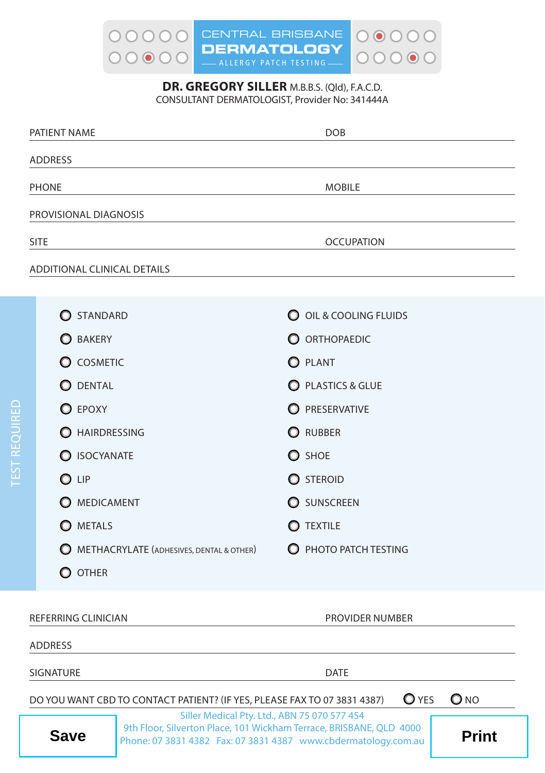

## **DR. GREGORY SILLER** M.B.B.S. (Qld), F.A.C.D. CONSULTANT DERMATOLOGIST, Provider No: 341444A

| PATIENT NAME                                                                                                                                                                                                               |                                    |                                                                          | <b>DOB</b>                        |  |
|----------------------------------------------------------------------------------------------------------------------------------------------------------------------------------------------------------------------------|------------------------------------|--------------------------------------------------------------------------|-----------------------------------|--|
|                                                                                                                                                                                                                            | <b>ADDRESS</b>                     |                                                                          |                                   |  |
| <b>PHONE</b>                                                                                                                                                                                                               |                                    |                                                                          | <b>MOBILE</b>                     |  |
|                                                                                                                                                                                                                            | PROVISIONAL DIAGNOSIS              |                                                                          |                                   |  |
| <b>SITE</b>                                                                                                                                                                                                                |                                    |                                                                          | <b>OCCUPATION</b>                 |  |
|                                                                                                                                                                                                                            | <b>ADDITIONAL CLINICAL DETAILS</b> |                                                                          |                                   |  |
|                                                                                                                                                                                                                            |                                    |                                                                          |                                   |  |
|                                                                                                                                                                                                                            | <b>O</b> STANDARD                  |                                                                          | O OIL & COOLING FLUIDS            |  |
|                                                                                                                                                                                                                            | <b>BAKERY</b>                      |                                                                          | O ORTHOPAEDIC                     |  |
|                                                                                                                                                                                                                            | $\bullet$ cosmetic                 |                                                                          | <b>O</b> PLANT                    |  |
|                                                                                                                                                                                                                            | $\bigcirc$ dental                  |                                                                          | PLASTICS & GLUE                   |  |
|                                                                                                                                                                                                                            | $\bullet$ EPOXY                    |                                                                          | <b>O</b> PRESERVATIVE             |  |
|                                                                                                                                                                                                                            | <b>C</b> HAIRDRESSING              |                                                                          | <b>O</b> RUBBER                   |  |
|                                                                                                                                                                                                                            | SOCYANATE                          |                                                                          | $\bullet$ SHOE                    |  |
|                                                                                                                                                                                                                            | $\bigcirc$ lip                     |                                                                          | <b>O</b> STEROID                  |  |
|                                                                                                                                                                                                                            | <b>O MEDICAMENT</b>                |                                                                          | <b>O</b> SUNSCREEN                |  |
|                                                                                                                                                                                                                            | <b>O</b> METALS                    |                                                                          | $\bullet$ textile                 |  |
|                                                                                                                                                                                                                            |                                    | METHACRYLATE (ADHESIVES, DENTAL & OTHER)                                 | <b>O</b> PHOTO PATCH TESTING      |  |
|                                                                                                                                                                                                                            | <b>O</b> OTHER                     |                                                                          |                                   |  |
|                                                                                                                                                                                                                            |                                    |                                                                          |                                   |  |
| REFERRING CLINICIAN                                                                                                                                                                                                        |                                    |                                                                          | PROVIDER NUMBER                   |  |
|                                                                                                                                                                                                                            | <b>ADDRESS</b>                     |                                                                          |                                   |  |
| <b>SIGNATURE</b>                                                                                                                                                                                                           |                                    |                                                                          | <b>DATE</b>                       |  |
|                                                                                                                                                                                                                            |                                    | DO YOU WANT CBD TO CONTACT PATIENT? (IF YES, PLEASE FAX TO 07 3831 4387) | $\bigcirc$ NO<br>$\mathbf{O}$ YES |  |
| Siller Medical Pty. Ltd., ABN 75 070 577 454<br>9th Floor, Silverton Place, 101 Wickham Terrace, BRISBANE, QLD 4000<br><b>Save</b><br><b>Print</b><br>Phone: 07 3831 4382    Fax: 07 3831 4387    www.cbdermatology.com.au |                                    |                                                                          |                                   |  |

TEST REQUIRED

**TEST REQUIRED**